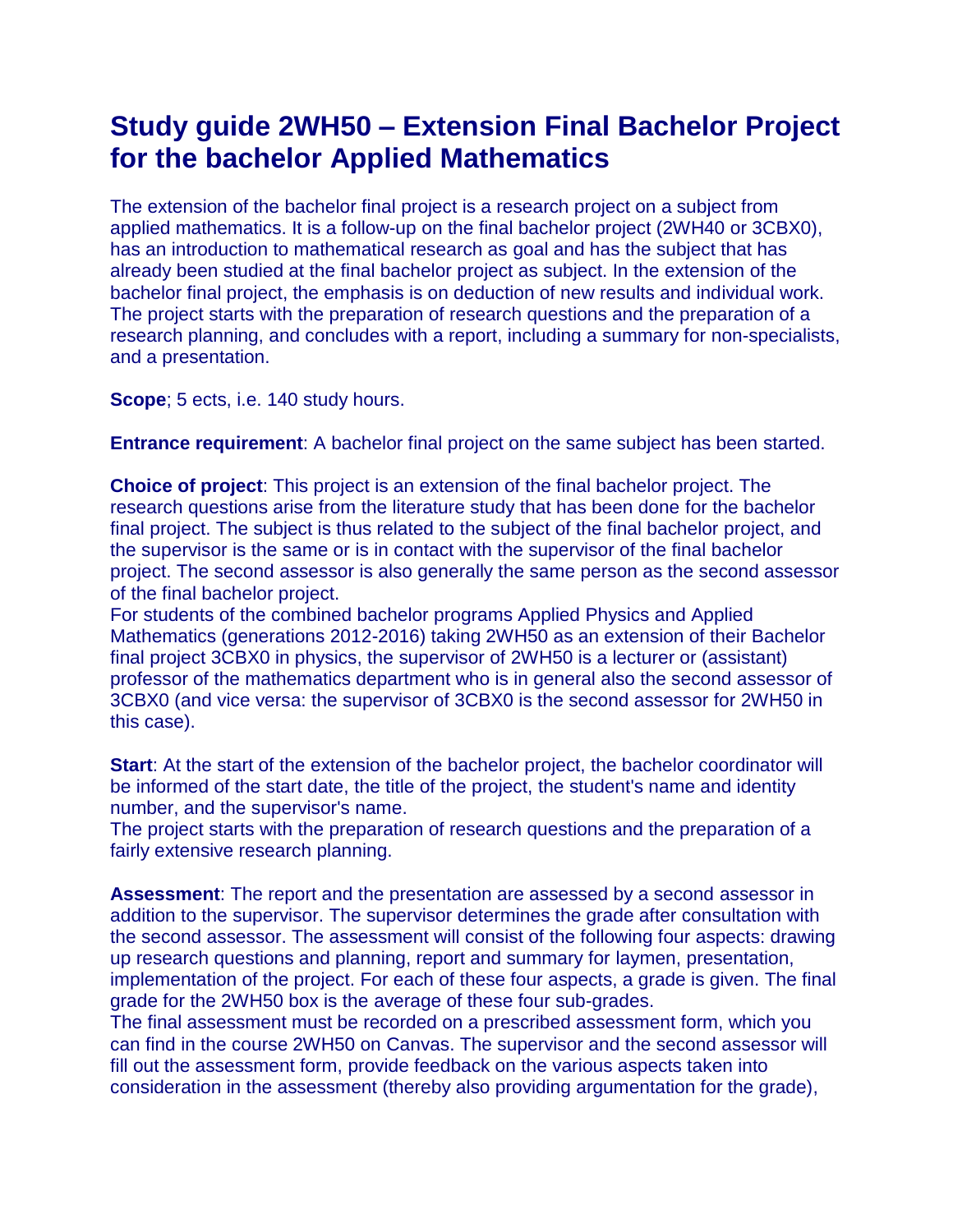## **Study guide 2WH50 – Extension Final Bachelor Project for the bachelor Applied Mathematics**

The extension of the bachelor final project is a research project on a subject from applied mathematics. It is a follow-up on the final bachelor project (2WH40 or 3CBX0), has an introduction to mathematical research as goal and has the subject that has already been studied at the final bachelor project as subject. In the extension of the bachelor final project, the emphasis is on deduction of new results and individual work. The project starts with the preparation of research questions and the preparation of a research planning, and concludes with a report, including a summary for non-specialists, and a presentation.

**Scope**; 5 ects, i.e. 140 study hours.

**Entrance requirement**: A bachelor final project on the same subject has been started.

**Choice of project**: This project is an extension of the final bachelor project. The research questions arise from the literature study that has been done for the bachelor final project. The subject is thus related to the subject of the final bachelor project, and the supervisor is the same or is in contact with the supervisor of the final bachelor project. The second assessor is also generally the same person as the second assessor of the final bachelor project.

For students of the combined bachelor programs Applied Physics and Applied Mathematics (generations 2012-2016) taking 2WH50 as an extension of their Bachelor final project 3CBX0 in physics, the supervisor of 2WH50 is a lecturer or (assistant) professor of the mathematics department who is in general also the second assessor of 3CBX0 (and vice versa: the supervisor of 3CBX0 is the second assessor for 2WH50 in this case).

**Start**: At the start of the extension of the bachelor project, the bachelor coordinator will be informed of the start date, the title of the project, the student's name and identity number, and the supervisor's name.

The project starts with the preparation of research questions and the preparation of a fairly extensive research planning.

**Assessment**: The report and the presentation are assessed by a second assessor in addition to the supervisor. The supervisor determines the grade after consultation with the second assessor. The assessment will consist of the following four aspects: drawing up research questions and planning, report and summary for laymen, presentation, implementation of the project. For each of these four aspects, a grade is given. The final grade for the 2WH50 box is the average of these four sub-grades.

The final assessment must be recorded on a prescribed assessment form, which you can find in the course 2WH50 on Canvas. The supervisor and the second assessor will fill out the assessment form, provide feedback on the various aspects taken into consideration in the assessment (thereby also providing argumentation for the grade),